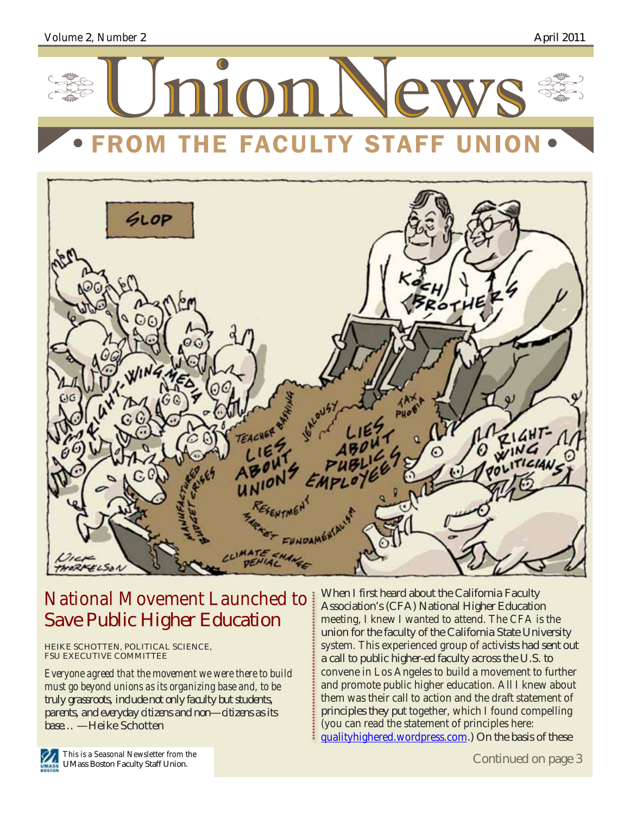





# National Movement Launched to Save Public Higher Education

HEIKE SCHOTTEN, POLITICAL SCIENCE, FSU EXECUTIVE COMMITTEE

*Everyone agreed that the movement we were there to build must go beyond unions as its organizing base and, to be truly grassroots, include not only faculty but students, parents, and everyday citizens and non—citizens as its base…* —Heike Schotten

When I first heard about the California Faculty Association's (CFA) National Higher Education meeting, I knew I wanted to attend. The CFA is the union for the faculty of the California State University system. This experienced group of activists had sent out a call to public higher-ed faculty across the U.S. to convene in Los Angeles to build a movement to further and promote public higher education. All I knew about them was their call to action and the draft statement of principles they put together, which I found compelling (you can read the statement of principles here: qualityhighered.wordpress.com.) On the basis of these

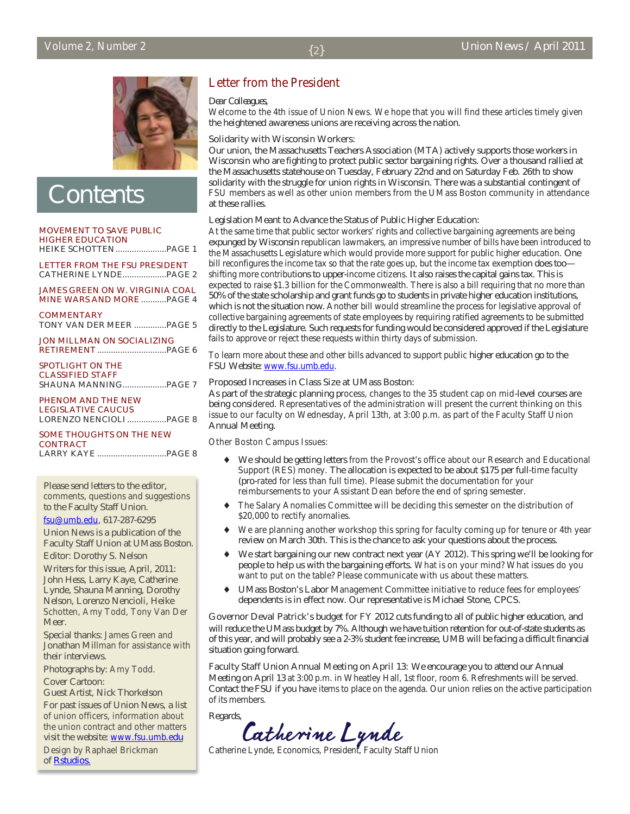

**Contents** 

MOVEMENT TO SAVE PUBLIC HIGHER EDUCATION HEIKE SCHOTTEN......................PAGE 1

LETTER FROM THE FSU PRESIDENT CATHERINE LYNDE...................PAGE 2

JAMES GREEN ON W. VIRGINIA COAL MINE WARS AND MORE ...........PAGE 4

**COMMENTARY** TONY VAN DER MEER ..............PAGE 5

JON MILLMAN ON SOCIALIZING RETIREMENT..............................PAGE 6

| SPOTLIGHT ON THE     |  |
|----------------------|--|
| CLASSIFIED STAFF     |  |
| SHAUNA MANNINGPAGE 7 |  |

PHENOM AND THE NEW LEGISLATIVE CAUCUS LORENZO NENCIOLI.................PAGE 8

#### SOME THOUGHTS ON THE NEW **CONTRACT** LARRY KAYE ..............................PAGE 8

Please send letters to the editor, comments, questions and suggestions to the Faculty Staff Union.

fsu@umb.edu, 617-287-6295

Union News is a publication of the Faculty Staff Union at UMass Boston.

Editor: Dorothy S. Nelson

Writers for this issue, April, 2011: John Hess, Larry Kaye, Catherine Lynde, Shauna Manning, Dorothy Nelson, Lorenzo Nencioli, Heike Schotten, Amy Todd, Tony Van Der Meer.

Special thanks: James Green and Jonathan Millman for assistance with their interviews.

Photographs by: Amy Todd.

Cover Cartoon:

Guest Artist, Nick Thorkelson For past issues of Union News, a list of union officers, information about the union contract and other matters visit the website: www.fsu.umb.edu

Design by Raphael Brickman of **Rstudios**.

## Letter from the President

#### *Dear Colleagues,*

Welcome to the 4th issue of Union News. We hope that you will find these articles timely given the heightened awareness unions are receiving across the nation.

#### Solidarity with Wisconsin Workers:

Our union, the Massachusetts Teachers Association (MTA) actively supports those workers in Wisconsin who are fighting to protect public sector bargaining rights. Over a thousand rallied at the Massachusetts statehouse on Tuesday, February 22nd and on Saturday Feb. 26th to show solidarity with the struggle for union rights in Wisconsin. There was a substantial contingent of FSU members as well as other union members from the UMass Boston community in attendance at these rallies.

#### Legislation Meant to Advance the Status of Public Higher Education:

At the same time that public sector workers' rights and collective bargaining agreements are being expunged by Wisconsin republican lawmakers, an impressive number of bills have been introduced to the Massachusetts Legislature which would provide more support for public higher education. One bill reconfigures the income tax so that the rate goes up, but the income tax exemption does too shifting more contributions to upper-income citizens. It also raises the capital gains tax. This is expected to raise \$1.3 billion for the Commonwealth. There is also a bill requiring that no more than 50% of the state scholarship and grant funds go to students in private higher education institutions, which is not the situation now. Another bill would streamline the process for legislative approval of collective bargaining agreements of state employees by requiring ratified agreements to be submitted directly to the Legislature. Such requests for funding would be considered approved if the Legislature fails to approve or reject these requests within thirty days of submission.

To learn more about these and other bills advanced to support public higher education go to the FSU Website: www.fsu.umb.edu.

#### Proposed Increases in Class Size at UMass Boston:

As part of the strategic planning process, changes to the 35 student cap on mid-level courses are being considered. Representatives of the administration will present the current thinking on this issue to our faculty on Wednesday, April 13th, at 3:00 p.m. as part of the Faculty Staff Union Annual Meeting.

#### Other Boston Campus Issues:

- ♦ We should be getting letters from the Provost's office about our Research and Educational Support (RES) money. The allocation is expected to be about \$175 per full-time faculty (pro-rated for less than full time). Please submit the documentation for your reimbursements to your Assistant Dean before the end of spring semester.
- The Salary Anomalies Committee will be deciding this semester on the distribution of \$20,000 to rectify anomalies.
- We are planning another workshop this spring for faculty coming up for tenure or 4th year review on March 30th. This is the chance to ask your questions about the process.
- We start bargaining our new contract next year (AY 2012). This spring we'll be looking for people to help us with the bargaining efforts. What is on your mind? What issues do you want to put on the table? Please communicate with us about these matters.
- ♦ UMass Boston's Labor Management Committee initiative to reduce fees for employees' dependents is in effect now. Our representative is Michael Stone, CPCS.

Governor Deval Patrick's budget for FY 2012 cuts funding to all of public higher education, and will reduce the UMass budget by 7%. Although we have tuition retention for out-of-state students as of this year, and will probably see a 2-3% student fee increase, UMB will be facing a difficult financial situation going forward.

Faculty Staff Union Annual Meeting on April 13: We encourage you to attend our Annual Meeting on April 13 at 3:00 p.m. in Wheatley Hall, 1st floor, room 6. Refreshments will be served. Contact the FSU if you have items to place on the agenda. Our union relies on the active participation of its members.

Regards,

Catherine Lynde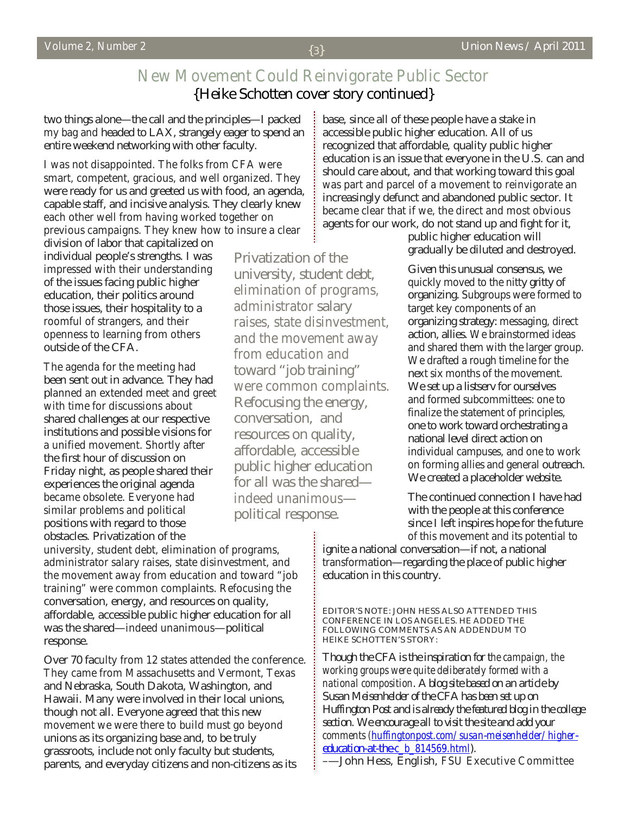# New Movement Could Reinvigorate Public Sector {Heike Schotten cover story continued}

two things alone—the call and the principles—I packed my bag and headed to LAX, strangely eager to spend an entire weekend networking with other faculty.

I was not disappointed. The folks from CFA were smart, competent, gracious, and well organized. They were ready for us and greeted us with food, an agenda, capable staff, and incisive analysis. They clearly knew each other well from having worked together on previous campaigns. They knew how to insure a clear

division of labor that capitalized on individual people's strengths. I was impressed with their understanding of the issues facing public higher education, their politics around those issues, their hospitality to a roomful of strangers, and their openness to learning from others outside of the CFA.

The agenda for the meeting had been sent out in advance. They had planned an extended meet and greet with time for discussions about shared challenges at our respective institutions and possible visions for a unified movement. Shortly after the first hour of discussion on Friday night, as people shared their experiences the original agenda became obsolete. Everyone had similar problems and political positions with regard to those obstacles. Privatization of the

elimination of programs, administrator salary raises, state disinvestment, and the movement away from education and toward "job training" were common complaints. Refocusing the energy, conversation, and resources on quality, affordable, accessible public higher education for all was the shared indeed unanimous political response.

Privatization of the

university, student debt,

base, since all of these people have a stake in accessible public higher education. All of us recognized that affordable, quality public higher education is an issue that everyone in the U.S. can and should care about, and that working toward this goal was part and parcel of a movement to reinvigorate an increasingly defunct and abandoned public sector. It became clear that if we, the direct and most obvious agents for our work, do not stand up and fight for it,

public higher education will gradually be diluted and destroyed.

Given this unusual consensus, we quickly moved to the nitty gritty of organizing. Subgroups were formed to target key components of an organizing strategy: messaging, direct action, allies. We brainstormed ideas and shared them with the larger group. We drafted a rough timeline for the next six months of the movement. We set up a listsery for ourselves and formed subcommittees: one to finalize the statement of principles, one to work toward orchestrating a national level direct action on individual campuses, and one to work on forming allies and general outreach. We created a placeholder website.

The continued connection I have had with the people at this conference since I left inspires hope for the future of this movement and its potential to

ignite a national conversation—if not, a national transformation—regarding the place of public higher education in this country.

university, student debt, elimination of programs, administrator salary raises, state disinvestment, and the movement away from education and toward "job training" were common complaints. Refocusing the conversation, energy, and resources on quality, affordable, accessible public higher education for all was the shared—indeed unanimous—political response.

Over 70 faculty from 12 states attended the conference. They came from Massachusetts and Vermont, Texas and Nebraska, South Dakota, Washington, and Hawaii. Many were involved in their local unions, though not all. Everyone agreed that this new movement we were there to build must go beyond unions as its organizing base and, to be truly grassroots, include not only faculty but students, parents, and everyday citizens and non-citizens as its

EDITOR'S NOTE: JOHN HESS ALSO ATTENDED THIS CONFERENCE IN LOS ANGELES. HE ADDED THE FOLLOWING COMMENTS AS AN ADDENDUM TO HEIKE SCHOTTEN'S STORY:

*Though the CFA is the inspiration for the campaign, the working groups were quite deliberately formed with a national composition. A blog site based on an article by Susan Meisenhelder of the CFA has been set up on Huffington Post and is already the featured blog in the college section. We encourage all to visit the site and add your comments (huffingtonpost.com/susan-meisenhelder/highereducation-at-the-c\_b\_814569.html).* 

–—John Hess, English, FSU Executive Committee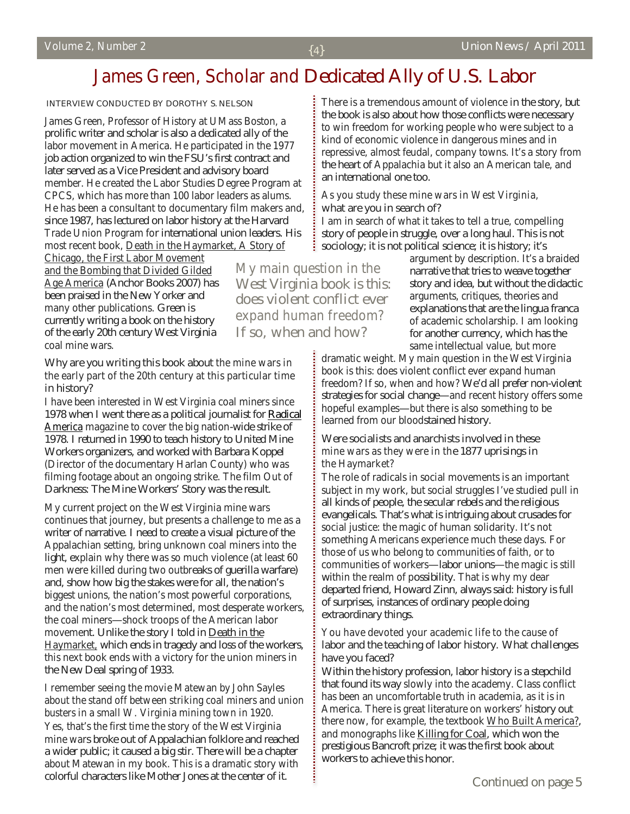# James Green, Scholar and Dedicated Ally of U.S. Labor

INTERVIEW CONDUCTED BY DOROTHY S. NELSON

James Green, Professor of History at UMass Boston, a prolific writer and scholar is also a dedicated ally of the labor movement in America. He participated in the 1977 job action organized to win the FSU's first contract and later served as a Vice President and advisory board member. He created the Labor Studies Degree Program at CPCS, which has more than 100 labor leaders as alums. He has been a consultant to documentary film makers and, since 1987, has lectured on labor history at the Harvard Trade Union Program for international union leaders. His most recent book, Death in the Haymarket, A Story of

Chicago, the First Labor Movement and the Bombing that Divided Gilded Age America (Anchor Books 2007) has been praised in the New Yorker and many other publications. Green is currently writing a book on the history of the early 20th century West Virginia coal mine wars.

### Why are you writing this book about the mine wars in the early part of the 20th century at this particular time in history?

I have been interested in West Virginia coal miners since 1978 when I went there as a political journalist for Radical America magazine to cover the big nation-wide strike of 1978. I returned in 1990 to teach history to United Mine Workers organizers, and worked with Barbara Koppel (Director of the documentary Harlan County) who was filming footage about an ongoing strike. The film Out of Darkness: The Mine Workers' Story was the result.

My current project on the West Virginia mine wars continues that journey, but presents a challenge to me as a writer of narrative. I need to create a visual picture of the Appalachian setting, bring unknown coal miners into the light, explain why there was so much violence (at least 60 men were killed during two outbreaks of guerilla warfare) and, show how big the stakes were for all, the nation's biggest unions, the nation's most powerful corporations, and the nation's most determined, most desperate workers, the coal miners—shock troops of the American labor movement. Unlike the story I told in Death in the Haymarket, which ends in tragedy and loss of the workers, this next book ends with a victory for the union miners in the New Deal spring of 1933.

#### I remember seeing the movie Matewan by John Sayles about the stand off between striking coal miners and union busters in a small W. Virginia mining town in 1920.

Yes, that's the first time the story of the West Virginia mine wars broke out of Appalachian folklore and reached a wider public; it caused a big stir. There will be a chapter about Matewan in my book. This is a dramatic story with colorful characters like Mother Jones at the center of it.

There is a tremendous amount of violence in the story, but the book is also about how those conflicts were necessary to win freedom for working people who were subject to a kind of economic violence in dangerous mines and in repressive, almost feudal, company towns. It's a story from the heart of Appalachia but it also an American tale, and an international one too.

### As you study these mine wars in West Virginia, what are you in search of?

I am in search of what it takes to tell a true, compelling story of people in struggle, over a long haul. This is not sociology; it is not political science; it is history; it's

My main question in the West Virginia book is this: does violent conflict ever expand human freedom? If so, when and how?

argument by description. It's a braided narrative that tries to weave together story and idea, but without the didactic arguments, critiques, theories and explanations that are the lingua franca of academic scholarship. I am looking for another currency, which has the same intellectual value, but more

dramatic weight. My main question in the West Virginia book is this: does violent conflict ever expand human freedom? If so, when and how? We'd all prefer non-violent strategies for social change—and recent history offers some hopeful examples—but there is also something to be learned from our bloodstained history.

#### Were socialists and anarchists involved in these mine wars as they were in the 1877 uprisings in the Haymarket?

The role of radicals in social movements is an important subject in my work, but social struggles I've studied pull in all kinds of people, the secular rebels and the religious evangelicals. That's what is intriguing about crusades for social justice: the magic of human solidarity. It's not something Americans experience much these days. For those of us who belong to communities of faith, or to communities of workers—labor unions—the magic is still within the realm of possibility. That is why my dear departed friend, Howard Zinn, always said: history is full of surprises, instances of ordinary people doing extraordinary things.

### You have devoted your academic life to the cause of labor and the teaching of labor history. What challenges have you faced?

Within the history profession, labor history is a stepchild that found its way slowly into the academy. Class conflict has been an uncomfortable truth in academia, as it is in America. There is great literature on workers' history out there now, for example, the textbook Who Built America?, and monographs like Killing for Coal, which won the prestigious Bancroft prize; it was the first book about workers to achieve this honor.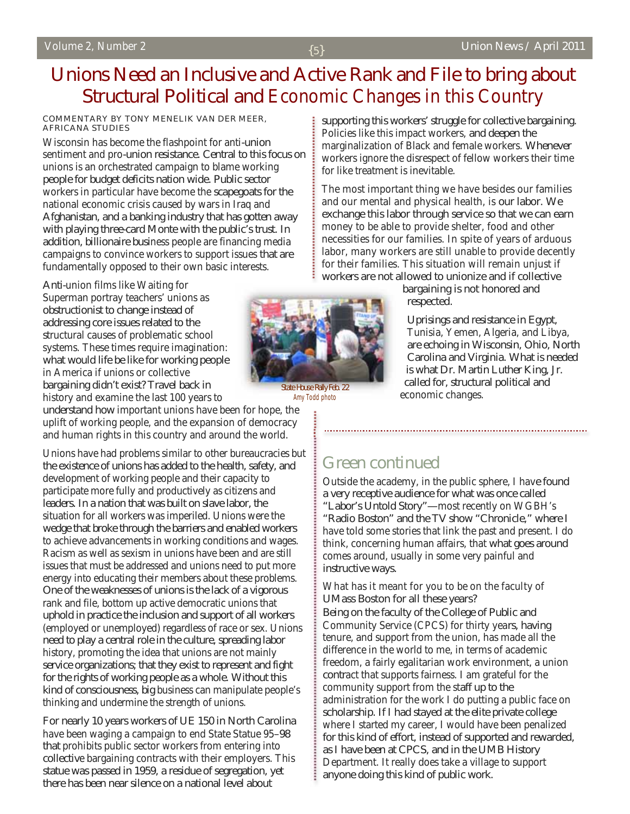# Unions Need an Inclusive and Active Rank and File to bring about Structural Political and Economic Changes in this Country

#### COMMENTARY BY TONY MENELIK VAN DER MEER, AFRICANA STUDIES

Wisconsin has become the flashpoint for anti-union sentiment and pro-union resistance. Central to this focus on unions is an orchestrated campaign to blame working people for budget deficits nation wide. Public sector workers in particular have become the scapegoats for the national economic crisis caused by wars in Iraq and Afghanistan, and a banking industry that has gotten away with playing three-card Monte with the public's trust. In addition, billionaire business people are financing media campaigns to convince workers to support issues that are fundamentally opposed to their own basic interests.

Anti-union films like Waiting for Superman portray teachers' unions as obstructionist to change instead of addressing core issues related to the structural causes of problematic school systems. These times require imagination: what would life be like for working people in America if unions or collective bargaining didn't exist? Travel back in history and examine the last 100 years to

understand how important unions have been for hope, the uplift of working people, and the expansion of democracy and human rights in this country and around the world.

Unions have had problems similar to other bureaucracies but the existence of unions has added to the health, safety, and development of working people and their capacity to participate more fully and productively as citizens and leaders. In a nation that was built on slave labor, the situation for all workers was imperiled. Unions were the wedge that broke through the barriers and enabled workers to achieve advancements in working conditions and wages. Racism as well as sexism in unions have been and are still issues that must be addressed and unions need to put more energy into educating their members about these problems. One of the weaknesses of unions is the lack of a vigorous rank and file, bottom up active democratic unions that uphold in practice the inclusion and support of all workers (employed or unemployed) regardless of race or sex. Unions need to play a central role in the culture, spreading labor history, promoting the idea that unions are not mainly service organizations; that they exist to represent and fight for the rights of working people as a whole. Without this kind of consciousness, big business can manipulate people's thinking and undermine the strength of unions.

For nearly 10 years workers of UE 150 in North Carolina have been waging a campaign to end State Statue 95–98 that prohibits public sector workers from entering into collective bargaining contracts with their employers. This statue was passed in 1959, a residue of segregation, yet there has been near silence on a national level about

supporting this workers' struggle for collective bargaining. Policies like this impact workers, and deepen the marginalization of Black and female workers. Whenever workers ignore the disrespect of fellow workers their time for like treatment is inevitable.

The most important thing we have besides our families and our mental and physical health, is our labor. We exchange this labor through service so that we can earn money to be able to provide shelter, food and other necessities for our families. In spite of years of arduous labor, many workers are still unable to provide decently for their families. This situation will remain unjust if workers are not allowed to unionize and if collective

> bargaining is not honored and respected.

Uprisings and resistance in Egypt, Tunisia, Yemen, Algeria, and Libya, are echoing in Wisconsin, Ohio, North Carolina and Virginia. What is needed is what Dr. Martin Luther King, Jr. called for, structural political and economic changes.



**State House Rally Feb. 22** Amy Todd photo

# Green continued

Outside the academy, in the public sphere, I have found a very receptive audience for what was once called "Labor's Untold Story"—most recently on WGBH's "Radio Boston" and the TV show "Chronicle," where I have told some stories that link the past and present. I do think, concerning human affairs, that what goes around comes around, usually in some very painful and instructive ways.

#### What has it meant for you to be on the faculty of UMass Boston for all these years?

Being on the faculty of the College of Public and Community Service (CPCS) for thirty years, having tenure, and support from the union, has made all the difference in the world to me, in terms of academic freedom, a fairly egalitarian work environment, a union contract that supports fairness. I am grateful for the community support from the staff up to the administration for the work I do putting a public face on scholarship. If I had stayed at the elite private college where I started my career, I would have been penalized for this kind of effort, instead of supported and rewarded, as I have been at CPCS, and in the UMB History Department. It really does take a village to support anyone doing this kind of public work.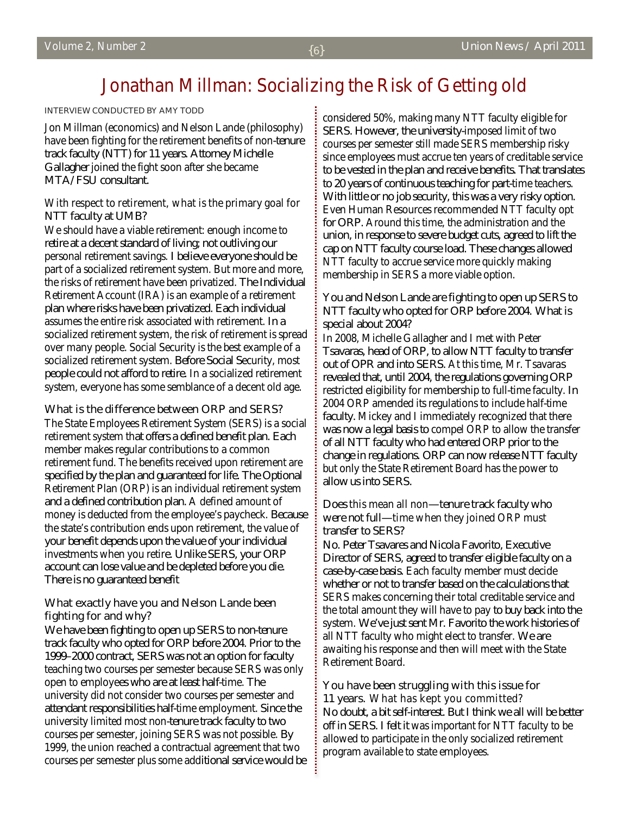# Jonathan Millman: Socializing the Risk of Getting old

#### INTERVIEW CONDUCTED BY AMY TODD

Jon Millman (economics) and Nelson Lande (philosophy) have been fighting for the retirement benefits of non-tenure track faculty (NTT) for 11 years. Attorney Michelle Gallagher joined the fight soon after she became MTA/FSU consultant.

### With respect to retirement, what is the primary goal for NTT faculty at UMB?

We should have a viable retirement: enough income to retire at a decent standard of living; not outliving our personal retirement savings. I believe everyone should be part of a socialized retirement system. But more and more, the risks of retirement have been privatized. The Individual Retirement Account (IRA) is an example of a retirement plan where risks have been privatized. Each individual assumes the entire risk associated with retirement. In a socialized retirement system, the risk of retirement is spread over many people. Social Security is the best example of a socialized retirement system. Before Social Security, most people could not afford to retire. In a socialized retirement system, everyone has some semblance of a decent old age.

### What is the difference between ORP and SERS?

The State Employees Retirement System (SERS) is a social retirement system that offers a defined benefit plan. Each member makes regular contributions to a common retirement fund. The benefits received upon retirement are specified by the plan and guaranteed for life. The Optional Retirement Plan (ORP) is an individual retirement system and a defined contribution plan. A defined amount of money is deducted from the employee's paycheck. Because the state's contribution ends upon retirement, the value of your benefit depends upon the value of your individual investments when you retire. Unlike SERS, your ORP account can lose value and be depleted before you die. There is no guaranteed benefit

### What exactly have you and Nelson Lande been fighting for and why?

We have been fighting to open up SERS to non-tenure track faculty who opted for ORP before 2004. Prior to the 1999–2000 contract, SERS was not an option for faculty teaching two courses per semester because SERS was only open to employees who are at least half-time. The university did not consider two courses per semester and attendant responsibilities half-time employment. Since the university limited most non-tenure track faculty to two courses per semester, joining SERS was not possible. By 1999, the union reached a contractual agreement that two courses per semester plus some additional service would be considered 50%, making many NTT faculty eligible for SERS. However, the university-imposed limit of two courses per semester still made SERS membership risky since employees must accrue ten years of creditable service to be vested in the plan and receive benefits. That translates to 20 years of continuous teaching for part-time teachers. With little or no job security, this was a very risky option. Even Human Resources recommended NTT faculty opt for ORP. Around this time, the administration and the union, in response to severe budget cuts, agreed to lift the cap on NTT faculty course load. These changes allowed NTT faculty to accrue service more quickly making membership in SERS a more viable option.

## You and Nelson Lande are fighting to open up SERS to NTT faculty who opted for ORP before 2004. What is special about 2004?

In 2008, Michelle Gallagher and I met with Peter Tsavaras, head of ORP, to allow NTT faculty to transfer out of OPR and into SERS. At this time, Mr. Tsavaras revealed that, until 2004, the regulations governing ORP restricted eligibility for membership to full-time faculty. In 2004 ORP amended its regulations to include half-time faculty. Mickey and I immediately recognized that there was now a legal basis to compel ORP to allow the transfer of all NTT faculty who had entered ORP prior to the change in regulations. ORP can now release NTT faculty but only the State Retirement Board has the power to allow us into SERS.

### Does this mean all non—tenure track faculty who were not full—time when they joined ORP must transfer to SERS?

No. Peter Tsavares and Nicola Favorito, Executive Director of SERS, agreed to transfer eligible faculty on a case-by-case basis. Each faculty member must decide whether or not to transfer based on the calculations that SERS makes concerning their total creditable service and the total amount they will have to pay to buy back into the system. We've just sent Mr. Favorito the work histories of all NTT faculty who might elect to transfer. We are awaiting his response and then will meet with the State Retirement Board.

## You have been struggling with this issue for 11 years. What has kept you committed?

No doubt, a bit self-interest. But I think we all will be better off in SERS. I felt it was important for NTT faculty to be allowed to participate in the only socialized retirement program available to state employees.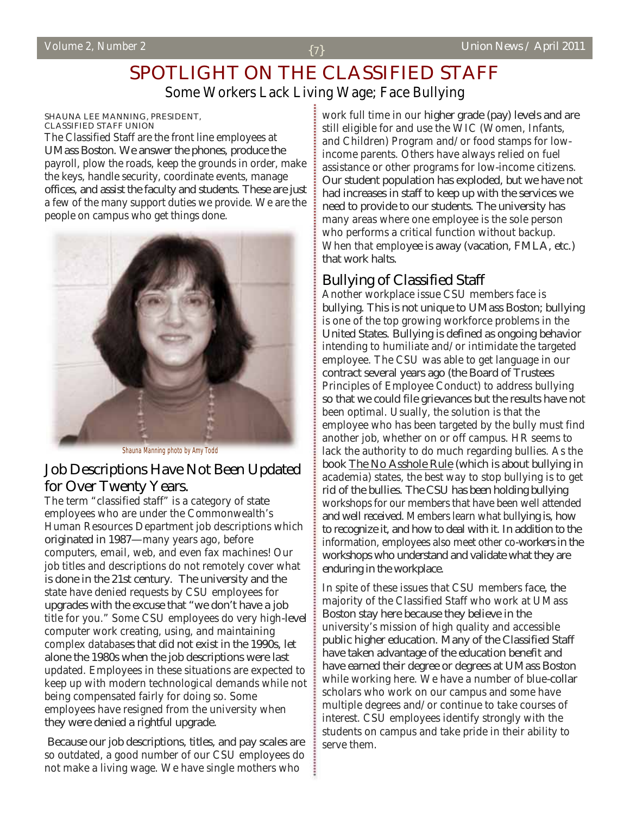# SPOTLIGHT ON THE CLASSIFIED STAFF Some Workers Lack Living Wage; Face Bullying

#### SHAUNA LEE MANNING, PRESIDENT, CLASSIFIED STAFF UNION

The Classified Staff are the front line employees at UMass Boston. We answer the phones, produce the payroll, plow the roads, keep the grounds in order, make the keys, handle security, coordinate events, manage offices, and assist the faculty and students. These are just a few of the many support duties we provide. We are the people on campus who get things done.



Shauna Manning photo by Amy Todd

## Job Descriptions Have Not Been Updated for Over Twenty Years.

The term "classified staff" is a category of state employees who are under the Commonwealth's Human Resources Department job descriptions which originated in 1987—many years ago, before computers, email, web, and even fax machines! Our job titles and descriptions do not remotely cover what is done in the 21st century. The university and the state have denied requests by CSU employees for upgrades with the excuse that "we don't have a job title for you." Some CSU employees do very high-level computer work creating, using, and maintaining complex databases that did not exist in the 1990s, let alone the 1980s when the job descriptions were last updated. Employees in these situations are expected to keep up with modern technological demands while not being compensated fairly for doing so. Some employees have resigned from the university when they were denied a rightful upgrade.

 Because our job descriptions, titles, and pay scales are so outdated, a good number of our CSU employees do not make a living wage. We have single mothers who

work full time in our higher grade (pay) levels and are still eligible for and use the WIC (Women, Infants, and Children) Program and/or food stamps for lowincome parents. Others have always relied on fuel assistance or other programs for low-income citizens. Our student population has exploded, but we have not had increases in staff to keep up with the services we need to provide to our students. The university has many areas where one employee is the sole person who performs a critical function without backup. When that employee is away (vacation, FMLA, etc.) that work halts.

## Bullying of Classified Staff

Another workplace issue CSU members face is bullying. This is not unique to UMass Boston; bullying is one of the top growing workforce problems in the United States. Bullying is defined as ongoing behavior intending to humiliate and/or intimidate the targeted employee. The CSU was able to get language in our contract several years ago (the Board of Trustees Principles of Employee Conduct) to address bullying so that we could file grievances but the results have not been optimal. Usually, the solution is that the employee who has been targeted by the bully must find another job, whether on or off campus. HR seems to lack the authority to do much regarding bullies. As the book The No Asshole Rule (which is about bullying in academia) states, the best way to stop bullying is to get rid of the bullies. The CSU has been holding bullying workshops for our members that have been well attended and well received. Members learn what bullying is, how to recognize it, and how to deal with it. In addition to the information, employees also meet other co-workers in the workshops who understand and validate what they are enduring in the workplace.

In spite of these issues that CSU members face, the majority of the Classified Staff who work at UMass Boston stay here because they believe in the university's mission of high quality and accessible public higher education. Many of the Classified Staff have taken advantage of the education benefit and have earned their degree or degrees at UMass Boston while working here. We have a number of blue-collar scholars who work on our campus and some have multiple degrees and/or continue to take courses of interest. CSU employees identify strongly with the students on campus and take pride in their ability to serve them.